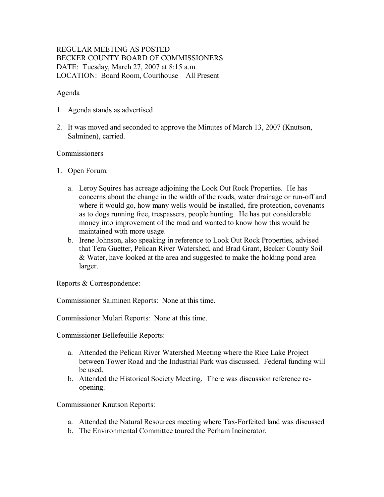# REGULAR MEETING AS POSTED BECKER COUNTY BOARD OF COMMISSIONERS DATE: Tuesday, March 27, 2007 at 8:15 a.m. LOCATION: Board Room, Courthouse All Present

### Agenda

- 1. Agenda stands as advertised
- 2. It was moved and seconded to approve the Minutes of March 13, 2007 (Knutson, Salminen), carried.

#### Commissioners

- 1. Open Forum:
	- a. Leroy Squires has acreage adjoining the Look Out Rock Properties. He has concerns about the change in the width of the roads, water drainage or run-off and where it would go, how many wells would be installed, fire protection, covenants as to dogs running free, trespassers, people hunting. He has put considerable money into improvement of the road and wanted to know how this would be maintained with more usage.
	- b. Irene Johnson, also speaking in reference to Look Out Rock Properties, advised that Tera Guetter, Pelican River Watershed, and Brad Grant, Becker County Soil & Water, have looked at the area and suggested to make the holding pond area larger.

Reports & Correspondence:

Commissioner Salminen Reports: None at this time.

Commissioner Mulari Reports: None at this time.

Commissioner Bellefeuille Reports:

- a. Attended the Pelican River Watershed Meeting where the Rice Lake Project between Tower Road and the Industrial Park was discussed. Federal funding will be used.
- b. Attended the Historical Society Meeting. There was discussion reference re opening.

Commissioner Knutson Reports:

- a. Attended the Natural Resources meeting where Tax-Forfeited land was discussed
- b. The Environmental Committee toured the Perham Incinerator.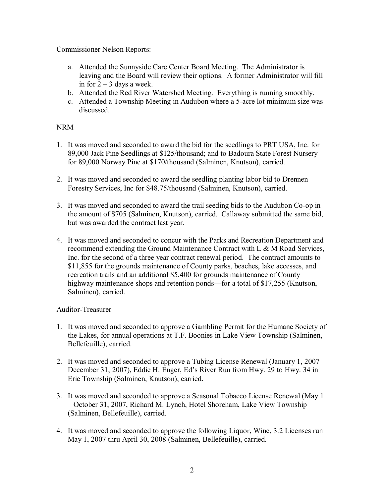Commissioner Nelson Reports:

- a. Attended the Sunnyside Care Center Board Meeting. The Administrator is leaving and the Board will review their options. A former Administrator will fill in for  $2 - 3$  days a week.
- b. Attended the Red River Watershed Meeting. Everything is running smoothly.
- c. Attended a Township Meeting in Audubon where a 5-acre lot minimum size was discussed.

# NRM

- 1. It was moved and seconded to award the bid for the seedlings to PRT USA, Inc. for 89,000 Jack Pine Seedlings at \$125/thousand; and to Badoura State Forest Nursery for 89,000 Norway Pine at \$170/thousand (Salminen, Knutson), carried.
- 2. It was moved and seconded to award the seedling planting labor bid to Drennen Forestry Services, Inc for \$48.75/thousand (Salminen, Knutson), carried.
- 3. It was moved and seconded to award the trail seeding bids to the Audubon Co-op in the amount of \$705 (Salminen, Knutson), carried. Callaway submitted the same bid, but was awarded the contract last year.
- 4. It was moved and seconded to concur with the Parks and Recreation Department and recommend extending the Ground Maintenance Contract with L & M Road Services, Inc. for the second of a three year contract renewal period. The contract amounts to \$11,855 for the grounds maintenance of County parks, beaches, lake accesses, and recreation trails and an additional \$5,400 for grounds maintenance of County highway maintenance shops and retention ponds—for a total of \$17,255 (Knutson, Salminen), carried.

## Auditor-Treasurer

- 1. It was moved and seconded to approve a Gambling Permit for the Humane Society of the Lakes, for annual operations at T.F. Boonies in Lake View Township (Salminen, Bellefeuille), carried.
- 2. It was moved and seconded to approve a Tubing License Renewal (January 1, 2007 December 31, 2007), Eddie H. Enger, Ed's River Run from Hwy. 29 to Hwy. 34 in Erie Township (Salminen, Knutson), carried.
- 3. It was moved and seconded to approve a Seasonal Tobacco License Renewal (May 1 – October 31, 2007, Richard M. Lynch, Hotel Shoreham, Lake View Township (Salminen, Bellefeuille), carried.
- 4. It was moved and seconded to approve the following Liquor, Wine, 3.2 Licenses run May 1, 2007 thru April 30, 2008 (Salminen, Bellefeuille), carried.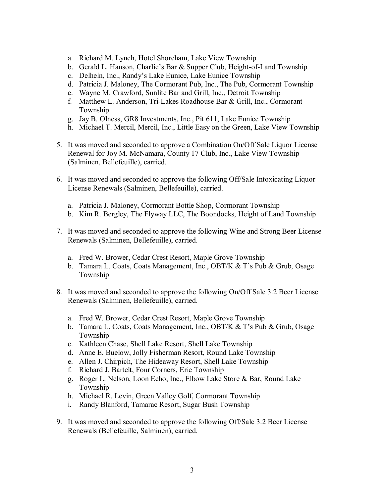- a. Richard M. Lynch, Hotel Shoreham, Lake View Township
- b. Gerald L. Hanson, Charlie's Bar  $&$  Supper Club, Height-of-Land Township
- c. Delheln, Inc., Randy's Lake Eunice, Lake Eunice Township
- d. Patricia J. Maloney, The Cormorant Pub, Inc., The Pub, Cormorant Township
- e. Wayne M. Crawford, Sunlite Bar and Grill, Inc., Detroit Township
- f. Matthew L. Anderson, TriLakes Roadhouse Bar & Grill, Inc., Cormorant Township
- g. Jay B. Olness, GR8 Investments, Inc., Pit 611, Lake Eunice Township
- h. Michael T. Mercil, Mercil, Inc., Little Easy on the Green, Lake View Township
- 5. It was moved and seconded to approve a Combination On/Off Sale Liquor License Renewal for Joy M. McNamara, County 17 Club, Inc., Lake View Township (Salminen, Bellefeuille), carried.
- 6. It was moved and seconded to approve the following Off/Sale Intoxicating Liquor License Renewals (Salminen, Bellefeuille), carried.
	- a. Patricia J. Maloney, Cormorant Bottle Shop, Cormorant Township
	- b. Kim R. Bergley, The Flyway LLC, The Boondocks, Height of Land Township
- 7. It was moved and seconded to approve the following Wine and Strong Beer License Renewals (Salminen, Bellefeuille), carried.
	- a. Fred W. Brower, Cedar Crest Resort, Maple Grove Township
	- b. Tamara L. Coats, Coats Management, Inc., OBT/K & T's Pub & Grub, Osage Township
- 8. It was moved and seconded to approve the following On/Off Sale 3.2 Beer License Renewals (Salminen, Bellefeuille), carried.
	- a. Fred W. Brower, Cedar Crest Resort, Maple Grove Township
	- b. Tamara L. Coats, Coats Management, Inc., OBT/K & T's Pub & Grub, Osage Township
	- c. Kathleen Chase, Shell Lake Resort, Shell Lake Township
	- d. Anne E. Buelow, Jolly Fisherman Resort, Round Lake Township
	- e. Allen J. Chirpich, The Hideaway Resort, Shell Lake Township
	- f. Richard J. Bartelt, Four Corners, Erie Township
	- g. Roger L. Nelson, Loon Echo, Inc., Elbow Lake Store & Bar, Round Lake Township
	- h. Michael R. Levin, Green Valley Golf, Cormorant Township
	- i. Randy Blanford, Tamarac Resort, Sugar Bush Township
- 9. It was moved and seconded to approve the following Off/Sale 3.2 Beer License Renewals (Bellefeuille, Salminen), carried.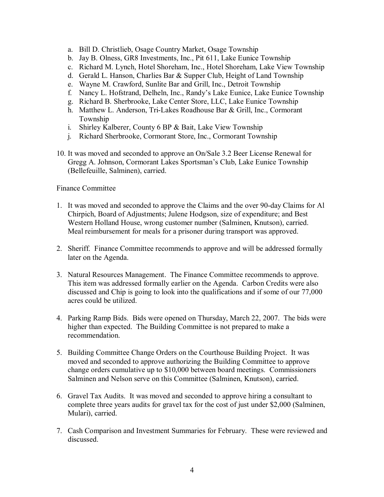- a. Bill D. Christlieb, Osage Country Market, Osage Township
- b. Jay B. Olness, GR8 Investments, Inc., Pit 611, Lake Eunice Township
- c. Richard M. Lynch, Hotel Shoreham, Inc., Hotel Shoreham, Lake View Township
- d. Gerald L. Hanson, Charlies Bar & Supper Club, Height of Land Township
- e. Wayne M. Crawford, Sunlite Bar and Grill, Inc., Detroit Township
- f. Nancy L. Hofstrand, Delheln, Inc., Randy's Lake Eunice, Lake Eunice Township
- g. Richard B. Sherbrooke, Lake Center Store, LLC, Lake Eunice Township
- h. Matthew L. Anderson, Tri-Lakes Roadhouse Bar & Grill, Inc., Cormorant Township
- i. Shirley Kalberer, County 6 BP & Bait, Lake View Township
- j. Richard Sherbrooke, Cormorant Store, Inc., Cormorant Township
- 10. It was moved and seconded to approve an On/Sale 3.2 Beer License Renewal for Gregg A. Johnson, Cormorant Lakes Sportsman's Club, Lake Eunice Township (Bellefeuille, Salminen), carried.

## Finance Committee

- 1. It was moved and seconded to approve the Claims and the over 90-day Claims for Al Chirpich, Board of Adjustments; Julene Hodgson, size of expenditure; and Best Western Holland House, wrong customer number (Salminen, Knutson), carried. Meal reimbursement for meals for a prisoner during transport was approved.
- 2. Sheriff. Finance Committee recommends to approve and will be addressed formally later on the Agenda.
- 3. Natural Resources Management. The Finance Committee recommends to approve. This item was addressed formally earlier on the Agenda. Carbon Credits were also discussed and Chip is going to look into the qualifications and if some of our 77,000 acres could be utilized.
- 4. Parking Ramp Bids. Bids were opened on Thursday, March 22, 2007. The bids were higher than expected. The Building Committee is not prepared to make a recommendation.
- 5. Building Committee Change Orders on the Courthouse Building Project. It was moved and seconded to approve authorizing the Building Committee to approve change orders cumulative up to \$10,000 between board meetings. Commissioners Salminen and Nelson serve on this Committee (Salminen, Knutson), carried.
- 6. Gravel Tax Audits. It was moved and seconded to approve hiring a consultant to complete three years audits for gravel tax for the cost of just under \$2,000 (Salminen, Mulari), carried.
- 7. Cash Comparison and Investment Summaries for February. These were reviewed and discussed.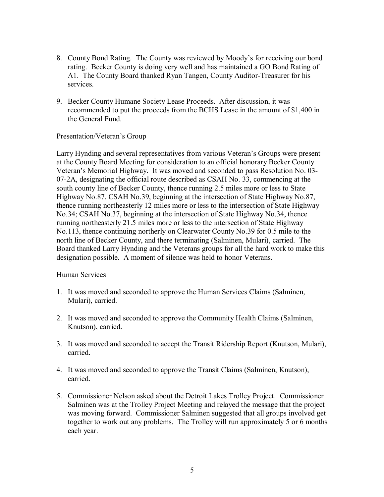- 8. County Bond Rating. The County was reviewed by Moody's for receiving our bond rating. Becker County is doing very well and has maintained a GO Bond Rating of A1. The County Board thanked Ryan Tangen, County Auditor-Treasurer for his services.
- 9. Becker County Humane Society Lease Proceeds. After discussion, it was recommended to put the proceeds from the BCHS Lease in the amount of \$1,400 in the General Fund.

### Presentation/Veteran's Group

Larry Hynding and several representatives from various Veteran's Groups were present at the County Board Meeting for consideration to an official honorary Becker County Veteran's Memorial Highway. It was moved and seconded to pass Resolution No. 03 072A, designating the official route described as CSAH No. 33, commencing at the south county line of Becker County, thence running 2.5 miles more or less to State Highway No.87. CSAH No.39, beginning at the intersection of State Highway No.87, thence running northeasterly 12 miles more or less to the intersection of State Highway No.34; CSAH No.37, beginning at the intersection of State Highway No.34, thence running northeasterly 21.5 miles more or less to the intersection of State Highway No.113, thence continuing northerly on Clearwater County No.39 for 0.5 mile to the north line of Becker County, and there terminating (Salminen, Mulari), carried. The Board thanked Larry Hynding and the Veterans groups for all the hard work to make this designation possible. A moment of silence was held to honor Veterans.

#### Human Services

- 1. It was moved and seconded to approve the Human Services Claims (Salminen, Mulari), carried.
- 2. It was moved and seconded to approve the Community Health Claims (Salminen, Knutson), carried.
- 3. It was moved and seconded to accept the Transit Ridership Report (Knutson, Mulari), carried.
- 4. It was moved and seconded to approve the Transit Claims (Salminen, Knutson), carried.
- 5. Commissioner Nelson asked about the Detroit Lakes Trolley Project. Commissioner Salminen was at the Trolley Project Meeting and relayed the message that the project was moving forward. Commissioner Salminen suggested that all groups involved get together to work out any problems. The Trolley will run approximately 5 or 6 months each year.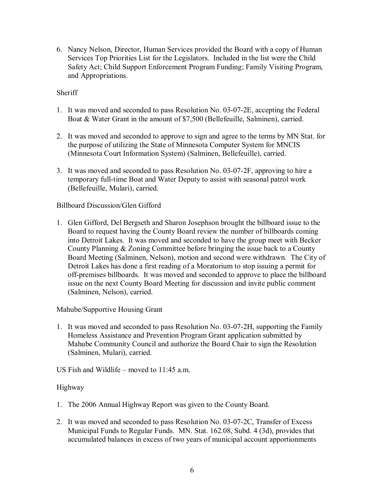6. Nancy Nelson, Director, Human Services provided the Board with a copy of Human Services Top Priorities List for the Legislators. Included in the list were the Child Safety Act; Child Support Enforcement Program Funding; Family Visiting Program, and Appropriations.

# **Sheriff**

- 1. It was moved and seconded to pass Resolution No. 03-07-2E, accepting the Federal Boat & Water Grant in the amount of \$7,500 (Bellefeuille, Salminen), carried.
- 2. It was moved and seconded to approve to sign and agree to the terms by MN Stat. for the purpose of utilizing the State of Minnesota Computer System for MNCIS (Minnesota Court Information System) (Salminen, Bellefeuille), carried.
- 3. It was moved and seconded to pass Resolution No.  $03-07-2F$ , approving to hire a temporary full-time Boat and Water Deputy to assist with seasonal patrol work (Bellefeuille, Mulari), carried.

## Billboard Discussion/Glen Gifford

1. Glen Gifford, Del Bergseth and Sharon Josephson brought the billboard issue to the Board to request having the County Board review the number of billboards coming into Detroit Lakes. It was moved and seconded to have the group meet with Becker County Planning & Zoning Committee before bringing the issue back to a County Board Meeting (Salminen, Nelson), motion and second were withdrawn. The City of Detroit Lakes has done a first reading of a Moratorium to stop issuing a permit for off-premises billboards. It was moved and seconded to approve to place the billboard issue on the next County Board Meeting for discussion and invite public comment (Salminen, Nelson), carried.

## Mahube/Supportive Housing Grant

- 1. It was moved and seconded to pass Resolution No. 03-07-2H, supporting the Family Homeless Assistance and Prevention Program Grant application submitted by Mahube Community Council and authorize the Board Chair to sign the Resolution (Salminen, Mulari), carried.
- US Fish and Wildlife moved to 11:45 a.m.

#### Highway

- 1. The 2006 Annual Highway Report was given to the County Board.
- 2. It was moved and seconded to pass Resolution No. 03-07-2C, Transfer of Excess Municipal Funds to Regular Funds. MN. Stat. 162.08, Subd. 4 (3d), provides that accumulated balances in excess of two years of municipal account apportionments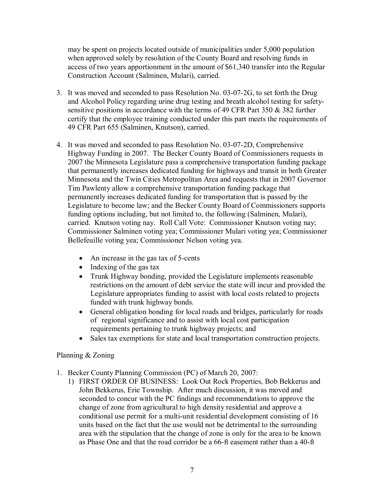may be spent on projects located outside of municipalities under 5,000 population when approved solely by resolution of the County Board and resolving funds in access of two years apportionment in the amount of \$61,340 transfer into the Regular Construction Account (Salminen, Mulari), carried.

- 3. It was moved and seconded to pass Resolution No. 03-07-2G, to set forth the Drug and Alcohol Policy regarding urine drug testing and breath alcohol testing for safety sensitive positions in accordance with the terms of 49 CFR Part 350  $\&$  382 further certify that the employee training conducted under this part meets the requirements of 49 CFR Part 655 (Salminen, Knutson), carried.
- 4. It was moved and seconded to pass Resolution No. 03-07-2D, Comprehensive Highway Funding in 2007. The Becker County Board of Commissioners requests in 2007 the Minnesota Legislature pass a comprehensive transportation funding package that permanently increases dedicated funding for highways and transit in both Greater Minnesota and the Twin Cities Metropolitan Area and requests that in 2007 Governor Tim Pawlenty allow a comprehensive transportation funding package that permanently increases dedicated funding for transportation that is passed by the Legislature to become law; and the Becker County Board of Commissioners supports funding options including, but not limited to, the following (Salminen, Mulari), carried. Knutson voting nay. Roll Call Vote: Commissioner Knutson voting nay; Commissioner Salminen voting yea; Commissioner Mulari voting yea; Commissioner Bellefeuille voting yea; Commissioner Nelson voting yea.
	- An increase in the gas tax of  $5$ -cents
	- Indexing of the gas tax
	- · Trunk Highway bonding, provided the Legislature implements reasonable restrictions on the amount of debt service the state will incur and provided the Legislature appropriates funding to assist with local costs related to projects funded with trunk highway bonds.
	- · General obligation bonding for local roads and bridges, particularly for roads of regional significance and to assist with local cost participation requirements pertaining to trunk highway projects; and
	- · Sales tax exemptions for state and local transportation construction projects.

## Planning & Zoning

- 1. Becker County Planning Commission (PC) of March 20, 2007:
	- 1) FIRST ORDER OF BUSINESS: Look Out Rock Properties, Bob Bekkerus and John Bekkerus, Erie Township. After much discussion, it was moved and seconded to concur with the PC findings and recommendations to approve the change of zone from agricultural to high density residential and approve a conditional use permit for a multi-unit residential development consisting of 16 units based on the fact that the use would not be detrimental to the surrounding area with the stipulation that the change of zone is only for the area to be known as Phase One and that the road corridor be a 66-ft easement rather than a 40-ft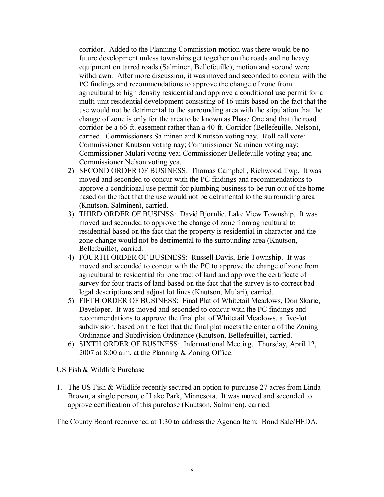corridor. Added to the Planning Commission motion was there would be no future development unless townships get together on the roads and no heavy equipment on tarred roads (Salminen, Bellefeuille), motion and second were withdrawn. After more discussion, it was moved and seconded to concur with the PC findings and recommendations to approve the change of zone from agricultural to high density residential and approve a conditional use permit for a multi-unit residential development consisting of 16 units based on the fact that the use would not be detrimental to the surrounding area with the stipulation that the change of zone is only for the area to be known as Phase One and that the road corridor be a 66-ft. easement rather than a 40-ft. Corridor (Bellefeuille, Nelson), carried. Commissioners Salminen and Knutson voting nay. Roll call vote: Commissioner Knutson voting nay; Commissioner Salminen voting nay; Commissioner Mulari voting yea; Commissioner Bellefeuille voting yea; and Commissioner Nelson voting yea.

- 2) SECOND ORDER OF BUSINESS: Thomas Campbell, Richwood Twp. It was moved and seconded to concur with the PC findings and recommendations to approve a conditional use permit for plumbing business to be run out of the home based on the fact that the use would not be detrimental to the surrounding area (Knutson, Salminen), carried.
- 3) THIRD ORDER OF BUSINSS: David Bjornlie, Lake View Township. It was moved and seconded to approve the change of zone from agricultural to residential based on the fact that the property is residential in character and the zone change would not be detrimental to the surrounding area (Knutson, Bellefeuille), carried.
- 4) FOURTH ORDER OF BUSINESS: Russell Davis, Erie Township. It was moved and seconded to concur with the PC to approve the change of zone from agricultural to residential for one tract of land and approve the certificate of survey for four tracts of land based on the fact that the survey is to correct bad legal descriptions and adjust lot lines (Knutson, Mulari), carried.
- 5) FIFTH ORDER OF BUSINESS: Final Plat of Whitetail Meadows, Don Skarie, Developer. It was moved and seconded to concur with the PC findings and recommendations to approve the final plat of Whitetail Meadows, a five-lot subdivision, based on the fact that the final plat meets the criteria of the Zoning Ordinance and Subdivision Ordinance (Knutson, Bellefeuille), carried.
- 6) SIXTH ORDER OF BUSINESS: Informational Meeting. Thursday, April 12, 2007 at 8:00 a.m. at the Planning & Zoning Office.

US Fish & Wildlife Purchase

1. The US Fish & Wildlife recently secured an option to purchase 27 acres from Linda Brown, a single person, of Lake Park, Minnesota. It was moved and seconded to approve certification of this purchase (Knutson, Salminen), carried.

The County Board reconvened at 1:30 to address the Agenda Item: Bond Sale/HEDA.